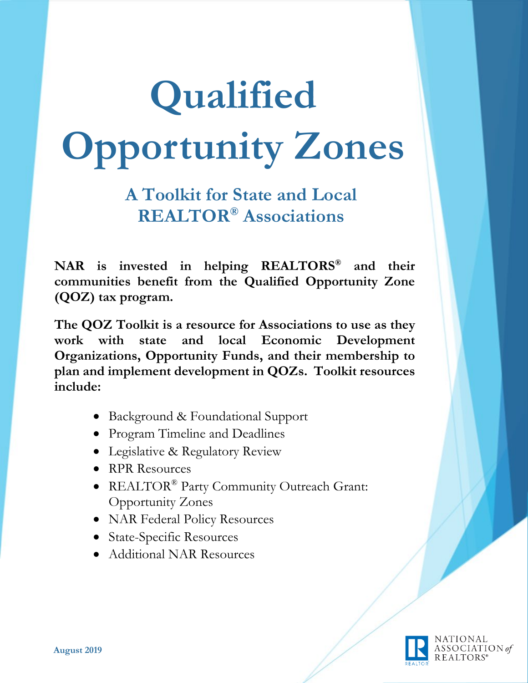# **Qualified Opportunity Zones**

**A Toolkit for State and Local REALTOR® Associations**

**NAR is invested in helping REALTORS® and their communities benefit from the Qualified Opportunity Zone (QOZ) tax program.** 

**The QOZ Toolkit is a resource for Associations to use as they work with state and local Economic Development Organizations, Opportunity Funds, and their membership to plan and implement development in QOZs. Toolkit resources include:** 

- Background & Foundational Support
- Program Timeline and Deadlines
- Legislative & Regulatory Review
- RPR Resources
- REALTOR® Party Community Outreach Grant: Opportunity Zones
- NAR Federal Policy Resources
- State-Specific Resources
- Additional NAR Resources

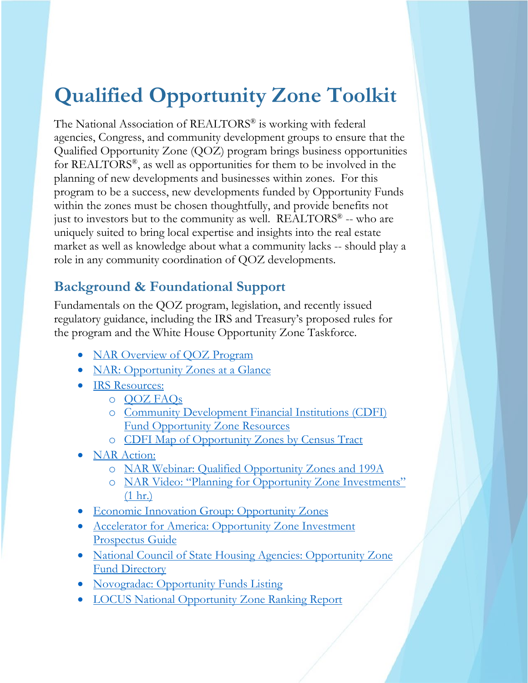# **Qualified Opportunity Zone Toolkit**

The National Association of REALTORS® is working with federal agencies, Congress, and community development groups to ensure that the Qualified Opportunity Zone (QOZ) program brings business opportunities for REALTORS®, as well as opportunities for them to be involved in the planning of new developments and businesses within zones. For this program to be a success, new developments funded by Opportunity Funds within the zones must be chosen thoughtfully, and provide benefits not just to investors but to the community as well.  $REALTORS<sup>®</sup> - who are$ uniquely suited to bring local expertise and insights into the real estate market as well as knowledge about what a community lacks -- should play a role in any community coordination of QOZ developments.

### **Background & Foundational Support**

Fundamentals on the QOZ program, legislation, and recently issued regulatory guidance, including the IRS and Treasury's proposed rules for the program and the White House Opportunity Zone Taskforce.

- [NAR Overview of QOZ Program](https://www.nar.realtor/qualified-opportunity-zones)
- [NAR: Opportunity Zones at a Glance](https://www.nar.realtor/sites/default/files/qualified-opportunity-zones-at-a-glance-4000w.jpg)
- IRS Resources:
	- o [QOZ FAQs](https://www.irs.gov/newsroom/opportunity-zones-frequently-asked-questions)
	- o [Community Development Financial Institutions \(CDFI\)](https://www.cdfifund.gov/Pages/Opportunity-Zones.aspx)  [Fund Opportunity Zone Resources](https://www.cdfifund.gov/Pages/Opportunity-Zones.aspx)
	- o [CDFI Map of Opportunity Zones by Census Tract](https://www.cims.cdfifund.gov/preparation/?config=config_nmtc.xml)
- NAR Action:
	- o [NAR Webinar: Qualified Opportunity Zones and 199A](https://www.nar.realtor/user/login?destination=/webinars/capitalizing-on-opportunity-zones-and-section-199a#!/)
	- o [NAR Video: "Planning for Opportunity Zone Investments"](https://www.nar.realtor/videos/planning-for-opportunity-zones-investments-2019-realtors-legislative-meetings)  [\(1 hr.\)](https://www.nar.realtor/videos/planning-for-opportunity-zones-investments-2019-realtors-legislative-meetings)
- [Economic Innovation Group: Opportunity Zones](https://eig.org/opportunityzones/about)
- [Accelerator for America: Opportunity Zone Investment](https://acceleratorforamerica.com/OZGuide)  [Prospectus Guide](https://acceleratorforamerica.com/OZGuide)
- National Council of State Housing Agencies: Opportunity Zone [Fund Directory](https://www.ncsha.org/resource/opportunity-zone-fund-directory/)
- [Novogradac: Opportunity Funds Listing](https://www.novoco.com/resource-centers/opportunity-zone-resource-center/opportunity-funds-listing)
- [LOCUS National Opportunity Zone Ranking Report](https://narfocus.com/billdatabase/clientfiles/172/21/3281.pdf)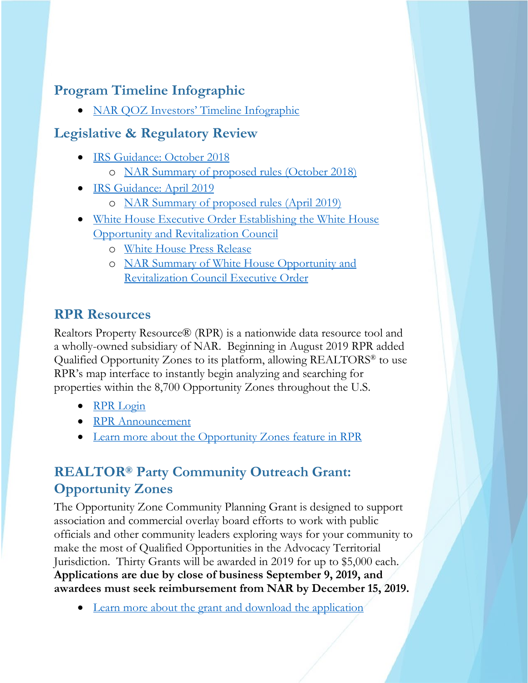## **Program Timeline Infographic**

• [NAR QOZ Investors' Timeline Infographic](https://narfocus.com/billdatabase/clientfiles/172/21/3429.pdf)

#### **Legislative & Regulatory Review**

- [IRS Guidance: October 2018](https://www.irs.gov/pub/irs-drop/reg-115420-18.pdf)
	- o [NAR Summary of proposed rules \(October 2018\)](https://www.nar.realtor/washington-report/opportunity-zones-proposed-rules-released)
- [IRS Guidance: April 2019](https://www.irs.gov/pub/irs-drop/reg-120186-18-nprm.pdf)
	- o [NAR Summary of proposed rules \(April 2019\)](https://www.nar.realtor/washington-report/nar-attends-white-house-opportunity-zone-event-new-rules-out)
- White House Executive Order Establishing the White House [Opportunity and Revitalization Council](https://www.whitehouse.gov/presidential-actions/executive-order-establishing-white-house-opportunity-revitalization-council/)
	- o [White House Press Release](https://www.whitehouse.gov/briefings-statements/president-donald-j-trump-lifting-american-communities-left-behind/)
	- o [NAR Summary of White House Opportunity and](https://www.nar.realtor/washington-report/executive-order-on-opportunity-zones)  [Revitalization Council Executive Order](https://www.nar.realtor/washington-report/executive-order-on-opportunity-zones)

### **RPR Resources**

Realtors Property Resource® (RPR) is a nationwide data resource tool and a wholly-owned subsidiary of NAR. Beginning in August 2019 RPR added Qualified Opportunity Zones to its platform, allowing REALTORS® to use RPR's map interface to instantly begin analyzing and searching for properties within the 8,700 Opportunity Zones throughout the U.S.

- [RPR Login](https://www.narrpr.com/)
- [RPR Announcement](http://blog.narrpr.com/news/rpr-adds-qualified-opportunity-zones/)
- [Learn more about the Opportunity Zones feature in RPR](http://blog.narrpr.com/news/rpr-adds-qualified-opportunity-zones/)

# **REALTOR® Party Community Outreach Grant: Opportunity Zones**

The Opportunity Zone Community Planning Grant is designed to support association and commercial overlay board efforts to work with public officials and other community leaders exploring ways for your community to make the most of Qualified Opportunities in the Advocacy Territorial Jurisdiction. Thirty Grants will be awarded in 2019 for up to \$5,000 each. **Applications are due by close of business September 9, 2019, and awardees must seek reimbursement from NAR by December 15, 2019.**

• [Learn more about the grant and download the application](https://realtorparty.realtor/community-outreach/community-planning-grant)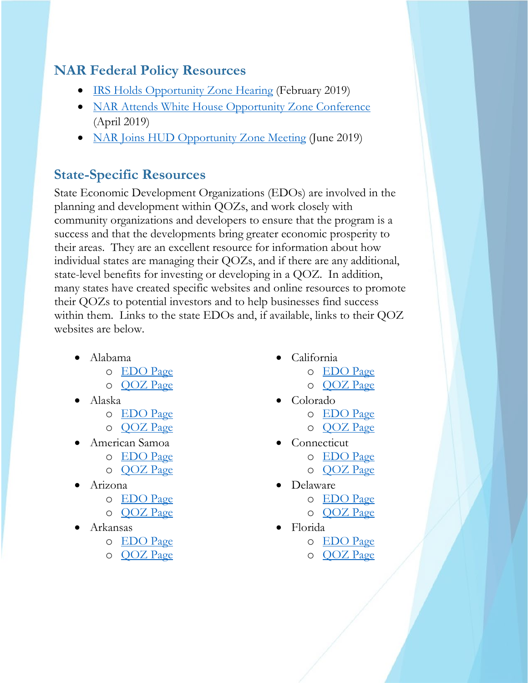#### **NAR Federal Policy Resources**

- [IRS Holds Opportunity Zone Hearing](https://www.nar.realtor/washington-report/irs-holds-opportunity-zone-hearing) (February 2019)
- [NAR Attends White House Opportunity Zone Conference](https://www.nar.realtor/washington-report/nar-attends-white-house-opportunity-zone-event-new-rules-out) (April 2019)
- [NAR Joins HUD Opportunity Zone Meeting](https://www.nar.realtor/washington-report/nar-joins-hud-opportunity-zone-meeting) (June 2019)

#### **State-Specific Resources**

State Economic Development Organizations (EDOs) are involved in the planning and development within QOZs, and work closely with community organizations and developers to ensure that the program is a success and that the developments bring greater economic prosperity to their areas. They are an excellent resource for information about how individual states are managing their QOZs, and if there are any additional, state-level benefits for investing or developing in a QOZ. In addition, many states have created specific websites and online resources to promote their QOZs to potential investors and to help businesses find success within them. Links to the state EDOs and, if available, links to their QOZ websites are below.

- Alabama
	- o [EDO Page](https://www.edpa.org/)
	- o [QOZ Page](http://adeca.alabama.gov/Divisions/OpportunityZones/Pages/Opportunity-Zones.aspx)
- Alaska
	- o [EDO Page](https://www.commerce.alaska.gov/web/)
	- o [QOZ Page](https://www.commerce.alaska.gov/web/ded/DEV/OpportunityZones.aspx)
- American Samoa
	- o [EDO Page](http://doc.as.gov/economic-development/)
	- o [QOZ Page](https://opportunitydb.com/location/american-samoa/)
- Arizona
	- o [EDO Page](https://www.azcommerce.com/)
	- o [QOZ Page](https://www.azcommerce.com/arizona-opportunity-zones/resources/)
- Arkansas
	- o [EDO Page](https://www.arkansasedc.com/)
	- o [QOZ Page](https://www.arkansasedc.com/opportunity-zones)
- California
	- o [EDO Page](http://business.ca.gov/)
	- o [QOZ Page](http://business.ca.gov/Programs/Opportunity-Zones)
- Colorado
	- o [EDO Page](https://choosecolorado.com/)
	- o [QOZ Page](https://choosecolorado.com/programs-initiatives/opportunity-zones/)
- **Connecticut** 
	- o [EDO Page](https://portal.ct.gov/DECD)
	- o [QOZ Page](https://portal.ct.gov/DECD/Content/Community-Development/04_Incentives_LiabilityRelief/Location-Based-Incentives/Opportunity-Zones)
- Delaware
	- o [EDO Page](https://business.delaware.gov/)
	- o [QOZ Page](https://business.delaware.gov/opportunity-zones/)
- Florida
	- o [EDO Page](https://www.enterpriseflorida.com/)
	- o [QOZ Page](http://www.floridajobs.org/business-growth-and-partnerships/for-businesses-and-entrepreneurs/business-resource/opportunity-zones)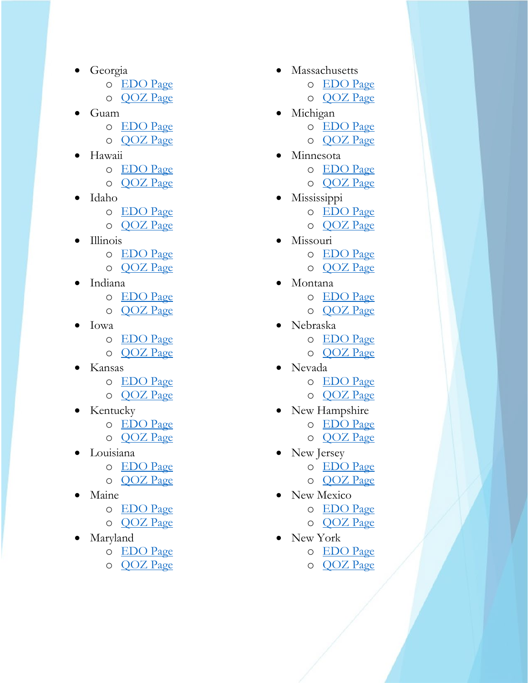- Georgia
	- o [EDO Page](https://www.georgia.org/)
	- o [QOZ Page](https://www.dca.ga.gov/community-economic-development/incentive-programs/state-opportunity-zones)
- Guam
	- o [EDO Page](http://www.investguam.com/)
	- o [QOZ Page](https://www.investguam.com/business-in-guam/guam-opportunity-zones/)
- Hawaii
	- o [EDO Page](http://dbedt.hawaii.gov/)
	- o [QOZ Page](https://invest.hawaii.gov/business/hawaii-opportunity-zones/)
- Idaho
	- o [EDO Page](https://commerce.idaho.gov/)
	- o [QOZ Page](https://commerce.idaho.gov/incentives-and-financing/opportunity-zones/)
- Illinois
	- o [EDO Page](https://www2.illinois.gov/dceo/Pages/default.aspx)
	- o [QOZ](https://www2.illinois.gov/dceo/Pages/OpportunityZones.aspx) Page
- Indiana
	- o [EDO Page](https://www.iedc.in.gov/home)
	- o [QOZ Page](https://www.iedc.in.gov/programs/indiana-opportunity-zones/home)
- Iowa
	- o [EDO Page](https://www.iowaeconomicdevelopment.com/)
	- o [QOZ Page](https://www.iowaeconomicdevelopment.com/opportunityzones)
- Kansas
	- o [EDO Page](https://www.kansascommerce.gov/)
	- o [QOZ Page](https://www.kansascommerce.gov/programs-services/federal-opportunity-zones/)
- Kentucky
	- o [EDO Page](http://www.thinkkentucky.com/)
	- o [QOZ Page](http://thinkkentucky.com/oz/docs/OZ-fact-sheet.pdf)
- Louisiana
	- o [EDO Page](https://www.opportunitylouisiana.com/)
	- o [QOZ Page](https://www.opportunitylouisiana.com/business-incentives/opportunity-zones)
- Maine
	- o [EDO Page](https://www.maine.gov/decd/)
	- o [QOZ Page](https://www.maine.gov/decd/business-development/opportunity-zones)
- Maryland
	- o [EDO Page](http://commerce.maryland.gov/)
	- o [QOZ Page](http://commerce.maryland.gov/fund)
- Massachusetts
	- o [EDO Page](https://www.mass.gov/orgs/executive-office-of-housing-and-economic-development)
	- o [QOZ Page](https://www.mass.gov/opportunity-zone-program)
	- Michigan
		- o [EDO Page](https://www.michiganbusiness.org/)
		- o [QOZ Page](https://www.michigan.gov/mshda/0,4641,7-141-5587_85624---,00.html)
- **Minnesota** 
	- o [EDO Page](https://mn.gov/deed/)
	- o [QOZ Page](https://mn.gov/deed/business/financing-business/tax-credits/opp-zones/)
- Mississippi
	- o [EDO Page](https://www.mississippi.org/)
	- o [QOZ Page](https://www.mississippi.org/opportunityzone/)
- Missouri
	- o [EDO Page](https://ded.mo.gov/business-services)
	- o [QOZ Page](https://ded.mo.gov/content/opportunity-zones)
- Montana
	- o [EDO Page](https://commerce.mt.gov/)
	- o [QOZ Page](https://commerce.mt.gov/OpportunityZones)
- Nebraska
	- o [EDO Page](https://opportunity.nebraska.gov/)
	- o [QOZ Page](https://www.nebraskaopportunityzones.org/)
- Nevada
	- o [EDO Page](http://www.diversifynevada.com/)
	- o [QOZ Page](http://www.diversifynevada.com/programs/opportunity-zones/)
- New Hampshire
	- o [EDO Page](https://www.nheconomy.com/)
	- o [QOZ Page](https://www.nheconomy.com/grow/opportunity-zones)
- New Jersey
	- o [EDO Page](https://www.njeda.com/default.aspx)
	- o [QOZ Page](https://nj.gov/governor/njopportunityzones/)
	- New Mexico
		- o [EDO Page](https://gonm.biz/)
			- o [QOZ Page](https://gonm.biz/business-development/edd-programs-for-business/finance-development/opportunity-zones)
- New York
	- o [EDO Page](https://esd.ny.gov/opportunity-zones)
	- o [QOZ Page](https://esd.ny.gov/opportunity-zones)